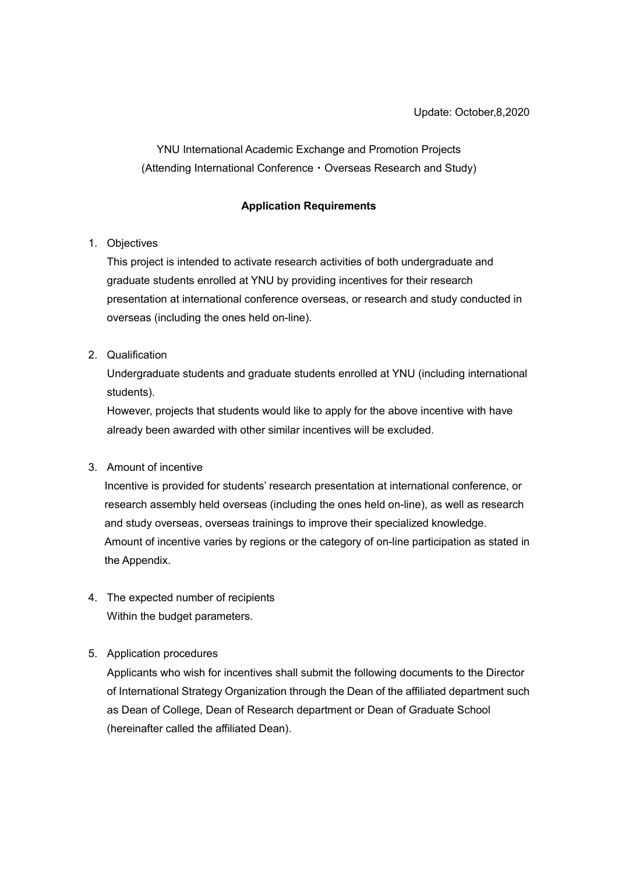YNU International Academic Exchange and Promotion Projects (Attending International Conference・Overseas Research and Study)

#### **Application Requirements**

## 1. Objectives

This project is intended to activate research activities of both undergraduate and graduate students enrolled at YNU by providing incentives for their research presentation at international conference overseas, or research and study conducted in overseas (including the ones held on-line).

## 2. Qualification

Undergraduate students and graduate students enrolled at YNU (including international students).

However, projects that students would like to apply for the above incentive with have already been awarded with other similar incentives will be excluded.

#### 3. Amount of incentive

Incentive is provided for students' research presentation at international conference, or research assembly held overseas (including the ones held on-line), as well as research and study overseas, overseas trainings to improve their specialized knowledge. Amount of incentive varies by regions or the category of on-line participation as stated in the Appendix.

4. The expected number of recipients Within the budget parameters.

#### 5. Application procedures

Applicants who wish for incentives shall submit the following documents to the Director of International Strategy Organization through the Dean of the affiliated department such as Dean of College, Dean of Research department or Dean of Graduate School (hereinafter called the affiliated Dean).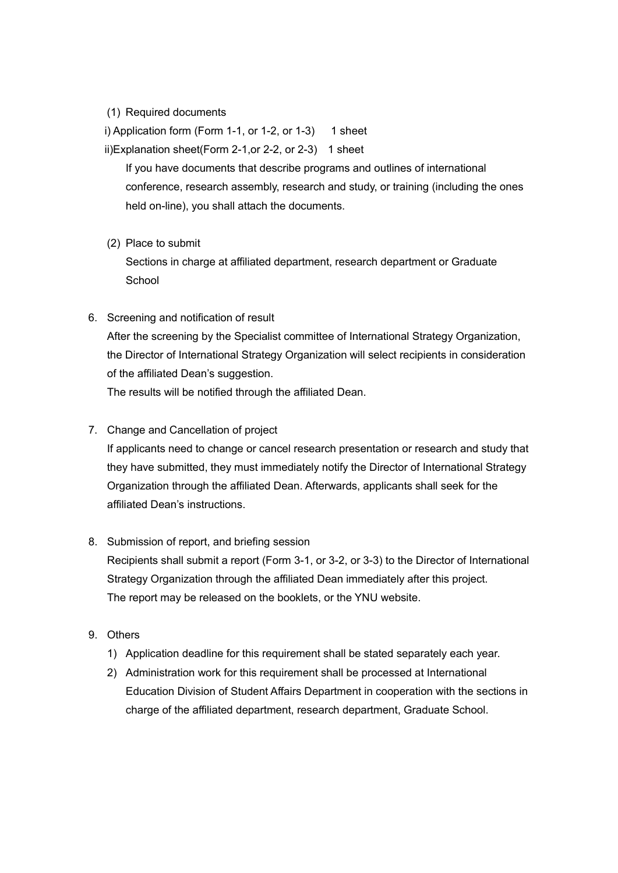(1) Required documents

i) Application form (Form 1-1, or 1-2, or 1-3) 1 sheet

ii)Explanation sheet(Form 2-1,or 2-2, or 2-3) 1 sheet

If you have documents that describe programs and outlines of international conference, research assembly, research and study, or training (including the ones held on-line), you shall attach the documents.

(2) Place to submit

Sections in charge at affiliated department, research department or Graduate **School** 

- 6. Screening and notification of result After the screening by the Specialist committee of International Strategy Organization, the Director of International Strategy Organization will select recipients in consideration of the affiliated Dean's suggestion. The results will be notified through the affiliated Dean.
- 7. Change and Cancellation of project

If applicants need to change or cancel research presentation or research and study that they have submitted, they must immediately notify the Director of International Strategy Organization through the affiliated Dean. Afterwards, applicants shall seek for the affiliated Dean's instructions.

#### 8. Submission of report, and briefing session

Recipients shall submit a report (Form 3-1, or 3-2, or 3-3) to the Director of International Strategy Organization through the affiliated Dean immediately after this project. The report may be released on the booklets, or the YNU website.

- 9. Others
	- 1) Application deadline for this requirement shall be stated separately each year.
	- 2) Administration work for this requirement shall be processed at International Education Division of Student Affairs Department in cooperation with the sections in charge of the affiliated department, research department, Graduate School.